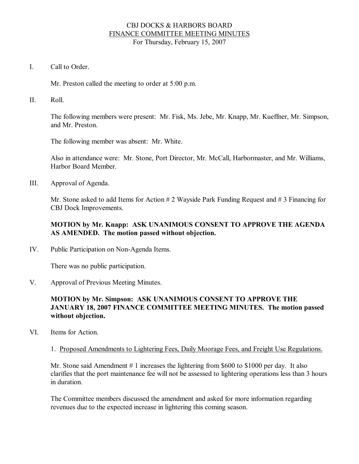#### CBJ DOCKS & HARBORS BOARD FINANCE COMMITTEE MEETING MINUTES For Thursday, February 15, 2007

I. Call to Order

Mr. Preston called the meeting to order at 5:00 p.m.

II. Roll.

The following members were present: Mr. Fisk, Ms. Jebe, Mr. Knapp, Mr. Kueffner, Mr. Simpson, and Mr. Preston.

The following member was absent: Mr. White.

Also in attendance were: Mr. Stone, Port Director, Mr. McCall, Harbormaster, and Mr. Williams, Harbor Board Member.

III. Approval of Agenda.

Mr. Stone asked to add Items for Action # 2 Wayside Park Funding Request and # 3 Financing for CBJ Dock Improvements.

## **MOTION by Mr. Knapp: ASK UNANIMOUS CONSENT TO APPROVE THE AGENDA AS AMENDED. The motion passed without objection.**

IV. Public Participation on Non-Agenda Items.

There was no public participation.

V. Approval of Previous Meeting Minutes.

## **MOTION by Mr. Simpson: ASK UNANIMOUS CONSENT TO APPROVE THE JANUARY 18,2007 FINANCE COMMITTEE MEETING MINUTES. The motion passed without objection.**

- VI. Items for Action.
	- 1. Proposed Amendments to Lightering Fees, Daily Moorage Fees, and Freight Use Regulations.

Mr. Stone said Amendment # 1 increases the lightering from \$600 to \$1000 per day. It also clarifies that the port maintenance fee will not be assessed to lightering operations less than 3 hours in duration.

The Committee members discussed the amendment and asked for more information regarding revenues due to the expected increase in lightering this coming season.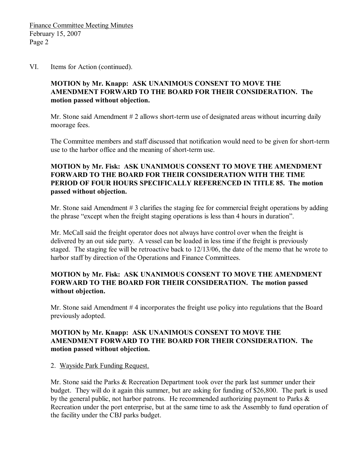#### VI. Items for Action (continued).

### **MOTION by Mr. Knapp: ASK UNANIMOUS CONSENT TO MOVE THE AMENDMENT FORWARD TO THE BOARD FOR THEIR CONSIDERATION. The motion passed without objection.**

Mr. Stone said Amendment  $# 2$  allows short-term use of designated areas without incurring daily moorage fees.

The Committee members and staff discussed that notification would need to be given for short-term use to the harbor office and the meaning of short-term use.

## **MOTION by Mr. Fisk: ASK UNANIMOUS CONSENT TO MOVE THE AMENDMENT FORWARD TO THE BOARD FOR THEIR CONSIDERATION WITH THE TIME PERIOD OF FOUR HOURS SPECIFICALLY REFERENCED IN TITLE 85. The motion passed without objection.**

Mr. Stone said Amendment # 3 clarifies the staging fee for commercial freight operations by adding the phrase "except when the freight staging operations is less than 4 hours in duration".

Mr. McCall said the freight operator does not always have control over when the freight is delivered by an out side party. A vessel can be loaded in less time if the freight is previously staged. The staging fee will be retroactive back to 12/13/06, the date of the memo that he wrote to harbor staff by direction of the Operations and Finance Committees.

### **MOTION by Mr. Fisk: ASK UNANIMOUS CONSENT TO MOVE THE AMENDMENT FORWARD TO THE BOARD FOR THEIR CONSIDERATION. The motion passed without objection.**

Mr. Stone said Amendment # 4 incorporates the freight use policy into regulations that the Board previously adopted.

#### **MOTION by Mr. Knapp: ASK UNANIMOUS CONSENT TO MOVE THE AMENDMENT FORWARD TO THE BOARD FOR THEIR CONSIDERATION. The motion passed without objection.**

#### 2. Wayside Park Funding Request.

Mr. Stone said the Parks & Recreation Department took over the park last summer under their budget. They will do it again this summer, but are asking for funding of \$26,800. The park is used by the general public, not harbor patrons. He recommended authorizing payment to Parks & Recreation under the port enterprise, but at the same time to ask the Assembly to fund operation of the facility under the CBJ parks budget.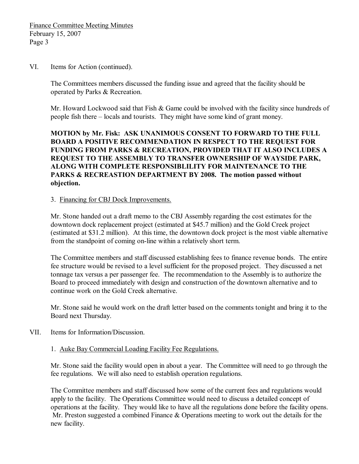VI. Items for Action (continued).

The Committees members discussed the funding issue and agreed that the facility should be operated by Parks & Recreation.

Mr. Howard Lockwood said that Fish & Game could be involved with the facility since hundreds of people fish there – locals and tourists. They might have some kind of grant money.

**MOTION by Mr. Fisk: ASK UNANIMOUS CONSENT TO FORWARD TO THE FULL BOARD A POSITIVE RECOMMENDATION IN RESPECT TO THE REQUEST FOR FUNDING FROM PARKS & RECREATION, PROVIDED THAT IT ALSO INCLUDES A REQUEST TO THE ASSEMBLY TO TRANSFER OWNERSHIP OF WAYSIDE PARK, ALONG WITH COMPLETE RESPONSIBLILITY FOR MAINTENANCE TO THE PARKS & RECREASTION DEPARTMENT BY 2008. The motion passed without objection.**

3. Financing for CBJ Dock Improvements.

Mr. Stone handed out a draft memo to the CBJ Assembly regarding the cost estimates for the downtown dock replacement project (estimated at \$45.7 million) and the Gold Creek project (estimated at \$31.2 million). At this time, the downtown dock project is the most viable alternative from the standpoint of coming on-line within a relatively short term.

The Committee members and staff discussed establishing fees to finance revenue bonds. The entire fee structure would be revised to a level sufficient for the proposed project. They discussed a net tonnage tax versus a per passenger fee. The recommendation to the Assembly is to authorize the Board to proceed immediately with design and construction of the downtown alternative and to continue work on the Gold Creek alternative.

Mr. Stone said he would work on the draft letter based on the comments tonight and bring it to the Board next Thursday.

- VII. Items for Information/Discussion.
	- 1. Auke Bay Commercial Loading Facility Fee Regulations.

Mr. Stone said the facility would open in about a year. The Committee will need to go through the fee regulations. We will also need to establish operation regulations.

The Committee members and staff discussed how some of the current fees and regulations would apply to the facility. The Operations Committee would need to discuss a detailed concept of operations at the facility. They would like to have all the regulations done before the facility opens. Mr. Preston suggested a combined Finance & Operations meeting to work out the details for the new facility.